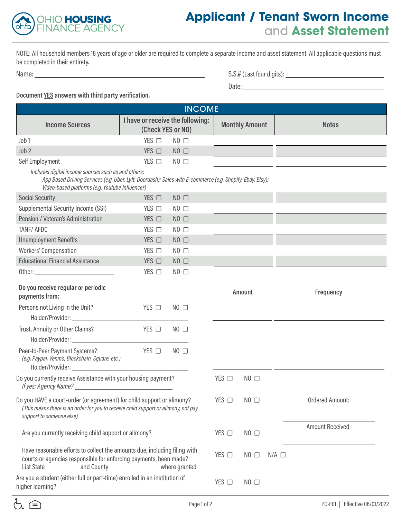

## **Applicant / Tenant Sworn Income**  and **Asset Statement**

NOTE: All household members 18 years of age or older are required to complete a separate income and asset statement. All applicable questions must be completed in their entirety.

Name: S.S. (Social four digits): S.S. (Social four digits): S.S. (Social four digits): S.S. (Social four digits): S.S. (Social four digits): S.S. (Social four digits): S.S. (Social four digits): S.S. (Social four digits):

| S.S.# (Last four digits): |  |  |  |
|---------------------------|--|--|--|
|                           |  |  |  |

discussion of the contract of the contract of the contract of the contract of the contract of the contract of the contract of the contract of the contract of the contract of the contract of the contract of the contract of

## **Document YES answers with third party verification.**

| <b>INCOME</b>                                                                                                                                                                                                                  |                                                       |                |  |                 |                       |                 |                         |
|--------------------------------------------------------------------------------------------------------------------------------------------------------------------------------------------------------------------------------|-------------------------------------------------------|----------------|--|-----------------|-----------------------|-----------------|-------------------------|
| <b>Income Sources</b>                                                                                                                                                                                                          | I have or receive the following:<br>(Check YES or NO) |                |  |                 | <b>Monthly Amount</b> |                 | <b>Notes</b>            |
| Job 1                                                                                                                                                                                                                          | YES □                                                 | $NO$ $\square$ |  |                 |                       |                 |                         |
| Job <sub>2</sub>                                                                                                                                                                                                               | $YES$ $\square$                                       | $NO$ $\square$ |  |                 |                       |                 |                         |
| Self Employment                                                                                                                                                                                                                | $YES$ $\Box$                                          | $NO$ $\square$ |  |                 |                       |                 |                         |
| Includes digital income sources such as and others:<br>App Based Driving Services (e.g. Uber, Lyft, Doordash); Sales with E-commerce (e.g. Shopify, Ebay, Etsy);<br>Video-based platforms (e.g. Youtube Influencer)            |                                                       |                |  |                 |                       |                 |                         |
| <b>Social Security</b>                                                                                                                                                                                                         | $YES$ $\Box$                                          | $NO$ $\square$ |  |                 |                       |                 |                         |
| Supplemental Security Income (SSI)                                                                                                                                                                                             | $YES$ $\Box$                                          | $NO$ $\Box$    |  |                 |                       |                 |                         |
| Pension / Veteran's Administration                                                                                                                                                                                             | $YES$ $\Box$                                          | $NO$ $\square$ |  |                 |                       |                 |                         |
| TANF/ AFDC                                                                                                                                                                                                                     | $YES$ $\square$                                       | $NO$ $\Box$    |  |                 |                       |                 |                         |
| <b>Unemployment Benefits</b>                                                                                                                                                                                                   | $YES$ $\square$                                       | $NO$ $\square$ |  |                 |                       |                 |                         |
| <b>Workers' Compensation</b>                                                                                                                                                                                                   | $YES$ $\square$                                       | $NO$ $\square$ |  |                 |                       |                 |                         |
| <b>Educational Financial Assistance</b>                                                                                                                                                                                        | $YES$ $\Box$                                          | $NO$ $\square$ |  |                 |                       |                 |                         |
|                                                                                                                                                                                                                                | $YES$ $\Box$                                          | $NO$ $\square$ |  |                 |                       |                 |                         |
| Do you receive regular or periodic<br>payments from:                                                                                                                                                                           |                                                       |                |  |                 | Amount                |                 | Frequency               |
| Persons not Living in the Unit?                                                                                                                                                                                                | $YES$ $\Box$                                          | $NO$ $\square$ |  |                 |                       |                 |                         |
| Trust, Annuity or Other Claims?                                                                                                                                                                                                | $YES$ $\Box$                                          | $NO$ $\Box$    |  |                 |                       |                 |                         |
| Peer-to-Peer Payment Systems?<br>(e.g. Paypal, Venmo, Blockchain, Square, etc.)                                                                                                                                                | $YES$ $\Box$                                          | $NO$ $\square$ |  |                 |                       |                 |                         |
| Do you currently receive Assistance with your housing payment?                                                                                                                                                                 |                                                       |                |  | $YES$ $\square$ | $NO$ $\Box$           |                 |                         |
| Do you HAVE a court-order (or agreement) for child support or alimony?<br>(This means there is an order for you to receive child support or alimony, not pay<br>support to someone else)                                       |                                                       |                |  | YES □           | $NO$ $\Box$           |                 | <b>Ordered Amount:</b>  |
| Are you currently receiving child support or alimony?                                                                                                                                                                          |                                                       |                |  | $YES$ $\square$ | $NO$ $\Box$           |                 | <b>Amount Received:</b> |
| Have reasonable efforts to collect the amounts due, including filing with<br>courts or agencies responsible for enforcing payments, been made?<br>List State _______________ and County _______________________ where granted. |                                                       |                |  | YES □           | $NO$ $\Box$           | $N/A$ $\square$ |                         |
| Are you a student (either full or part-time) enrolled in an institution of<br>higher learning?                                                                                                                                 |                                                       |                |  | $YES$ $\square$ | $NO$ $\Box$           |                 |                         |